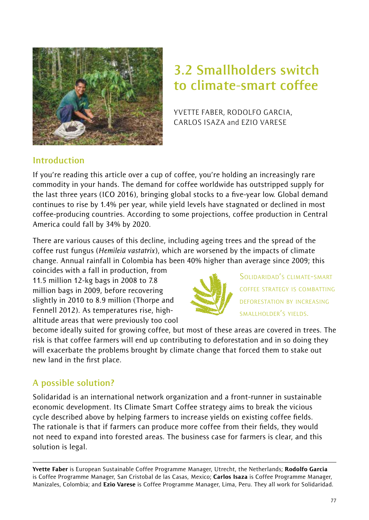

# **3.2 Smallholders switch to climate-smart coffee**

YVETTE FABER, RODOLFO GARCIA, CARLOS ISAZA and EZIO VARESE

## **Introduction**

If you're reading this article over a cup of coffee, you're holding an increasingly rare commodity in your hands. The demand for coffee worldwide has outstripped supply for the last three years (ICO 2016), bringing global stocks to a five-year low. Global demand continues to rise by 1.4% per year, while yield levels have stagnated or declined in most coffee-producing countries. According to some projections, coffee production in Central America could fall by 34% by 2020.

There are various causes of this decline, including ageing trees and the spread of the coffee rust fungus (*Hemileia vastatrix*), which are worsened by the impacts of climate change. Annual rainfall in Colombia has been 40% higher than average since 2009; this

coincides with a fall in production, from 11.5 million 12-kg bags in 2008 to 7.8 million bags in 2009, before recovering slightly in 2010 to 8.9 million (Thorpe and Fennell 2012). As temperatures rise, highaltitude areas that were previously too cool



SOLIDARIDAD'S CLIMATE-SMART COFFEE STRATEGY IS COMBATTING DEFORESTATION BY INCREASING SMALLHOLDER'S YIELDS.

become ideally suited for growing coffee, but most of these areas are covered in trees. The risk is that coffee farmers will end up contributing to deforestation and in so doing they will exacerbate the problems brought by climate change that forced them to stake out new land in the first place.

# **A possible solution?**

Solidaridad is an international network organization and a front-runner in sustainable economic development. Its Climate Smart Coffee strategy aims to break the vicious cycle described above by helping farmers to increase yields on existing coffee fields. The rationale is that if farmers can produce more coffee from their fields, they would not need to expand into forested areas. The business case for farmers is clear, and this solution is legal.

Yvette Faber is European Sustainable Coffee Programme Manager, Utrecht, the Netherlands; Rodolfo Garcia is Coffee Programme Manager, San Cristobal de las Casas, Mexico; Carlos Isaza is Coffee Programme Manager, Manizales, Colombia; and Ezio Varese is Coffee Programme Manager, Lima, Peru. They all work for Solidaridad.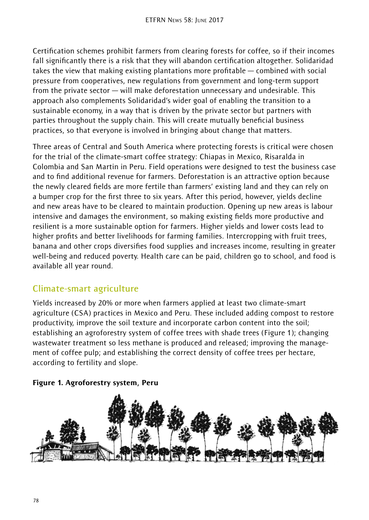Certification schemes prohibit farmers from clearing forests for coffee, so if their incomes fall significantly there is a risk that they will abandon certification altogether. Solidaridad takes the view that making existing plantations more profitable — combined with social pressure from cooperatives, new regulations from government and long-term support from the private sector — will make deforestation unnecessary and undesirable. This approach also complements Solidaridad's wider goal of enabling the transition to a sustainable economy, in a way that is driven by the private sector but partners with parties throughout the supply chain. This will create mutually beneficial business practices, so that everyone is involved in bringing about change that matters.

Three areas of Central and South America where protecting forests is critical were chosen for the trial of the climate-smart coffee strategy: Chiapas in Mexico, Risaralda in Colombia and San Martin in Peru. Field operations were designed to test the business case and to find additional revenue for farmers. Deforestation is an attractive option because the newly cleared fields are more fertile than farmers' existing land and they can rely on a bumper crop for the first three to six years. After this period, however, yields decline and new areas have to be cleared to maintain production. Opening up new areas is labour intensive and damages the environment, so making existing fields more productive and resilient is a more sustainable option for farmers. Higher yields and lower costs lead to higher profits and better livelihoods for farming families. Intercropping with fruit trees, banana and other crops diversifies food supplies and increases income, resulting in greater well-being and reduced poverty. Health care can be paid, children go to school, and food is available all year round.

## **Climate-smart agriculture**

Yields increased by 20% or more when farmers applied at least two climate-smart agriculture (CSA) practices in Mexico and Peru. These included adding compost to restore productivity, improve the soil texture and incorporate carbon content into the soil; establishing an agroforestry system of coffee trees with shade trees (Figure 1); changing wastewater treatment so less methane is produced and released; improving the management of coffee pulp; and establishing the correct density of coffee trees per hectare, according to fertility and slope.



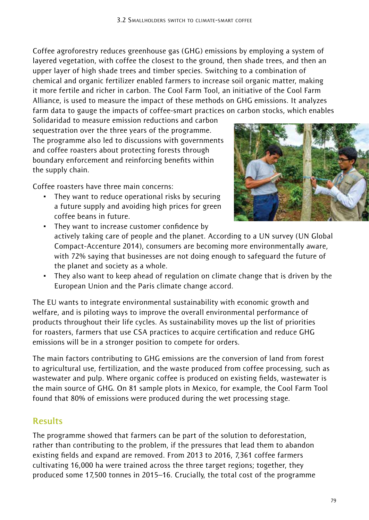Coffee agroforestry reduces greenhouse gas (GHG) emissions by employing a system of layered vegetation, with coffee the closest to the ground, then shade trees, and then an upper layer of high shade trees and timber species. Switching to a combination of chemical and organic fertilizer enabled farmers to increase soil organic matter, making it more fertile and richer in carbon. The Cool Farm Tool, an initiative of the Cool Farm Alliance, is used to measure the impact of these methods on GHG emissions. It analyzes farm data to gauge the impacts of coffee-smart practices on carbon stocks, which enables

Solidaridad to measure emission reductions and carbon sequestration over the three years of the programme. The programme also led to discussions with governments and coffee roasters about protecting forests through boundary enforcement and reinforcing benefits within the supply chain.

Coffee roasters have three main concerns:

They want to reduce operational risks by securing a future supply and avoiding high prices for green coffee beans in future.



- ~ They want to increase customer confidence by actively taking care of people and the planet. According to a UN survey (UN Global Compact-Accenture 2014), consumers are becoming more environmentally aware, with 72% saying that businesses are not doing enough to safeguard the future of the planet and society as a whole.
- ~ They also want to keep ahead of regulation on climate change that is driven by the European Union and the Paris climate change accord.

The EU wants to integrate environmental sustainability with economic growth and welfare, and is piloting ways to improve the overall environmental performance of products throughout their life cycles. As sustainability moves up the list of priorities for roasters, farmers that use CSA practices to acquire certification and reduce GHG emissions will be in a stronger position to compete for orders.

The main factors contributing to GHG emissions are the conversion of land from forest to agricultural use, fertilization, and the waste produced from coffee processing, such as wastewater and pulp. Where organic coffee is produced on existing fields, wastewater is the main source of GHG. On 81 sample plots in Mexico, for example, the Cool Farm Tool found that 80% of emissions were produced during the wet processing stage.

## **Results**

The programme showed that farmers can be part of the solution to deforestation, rather than contributing to the problem, if the pressures that lead them to abandon existing fields and expand are removed. From 2013 to 2016, 7,361 coffee farmers cultivating 16,000 ha were trained across the three target regions; together, they produced some 17,500 tonnes in 2015–16. Crucially, the total cost of the programme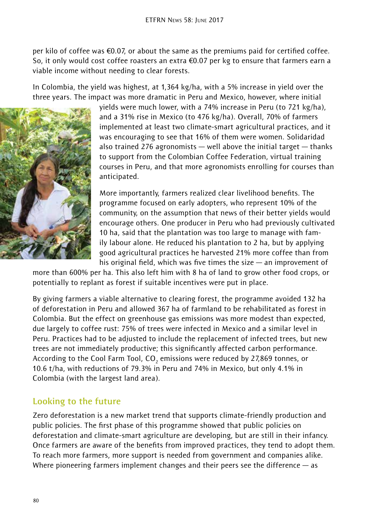per kilo of coffee was  $\epsilon$ 0.07, or about the same as the premiums paid for certified coffee. So, it only would cost coffee roasters an extra  $\epsilon$ 0.07 per kg to ensure that farmers earn a viable income without needing to clear forests.

In Colombia, the yield was highest, at 1,364 kg/ha, with a 5% increase in yield over the three years. The impact was more dramatic in Peru and Mexico, however, where initial



yields were much lower, with a 74% increase in Peru (to 721 kg/ha), and a 31% rise in Mexico (to 476 kg/ha). Overall, 70% of farmers implemented at least two climate-smart agricultural practices, and it was encouraging to see that 16% of them were women. Solidaridad also trained 276 agronomists  $-$  well above the initial target  $-$  thanks to support from the Colombian Coffee Federation, virtual training courses in Peru, and that more agronomists enrolling for courses than anticipated.

More importantly, farmers realized clear livelihood benefits. The programme focused on early adopters, who represent 10% of the community, on the assumption that news of their better yields would encourage others. One producer in Peru who had previously cultivated 10 ha, said that the plantation was too large to manage with family labour alone. He reduced his plantation to 2 ha, but by applying good agricultural practices he harvested 21% more coffee than from his original field, which was five times the size — an improvement of

more than 600% per ha. This also left him with 8 ha of land to grow other food crops, or potentially to replant as forest if suitable incentives were put in place.

By giving farmers a viable alternative to clearing forest, the programme avoided 132 ha of deforestation in Peru and allowed 367 ha of farmland to be rehabilitated as forest in Colombia. But the effect on greenhouse gas emissions was more modest than expected, due largely to coffee rust: 75% of trees were infected in Mexico and a similar level in Peru. Practices had to be adjusted to include the replacement of infected trees, but new trees are not immediately productive; this significantly affected carbon performance. According to the Cool Farm Tool, CO $_{\textrm{\tiny{2}}}$  emissions were reduced by 27,869 tonnes, or 10.6 t/ha, with reductions of 79.3% in Peru and 74% in Mexico, but only 4.1% in Colombia (with the largest land area).

## **Looking to the future**

Zero deforestation is a new market trend that supports climate-friendly production and public policies. The first phase of this programme showed that public policies on deforestation and climate-smart agriculture are developing, but are still in their infancy. Once farmers are aware of the benefits from improved practices, they tend to adopt them. To reach more farmers, more support is needed from government and companies alike. Where pioneering farmers implement changes and their peers see the difference — as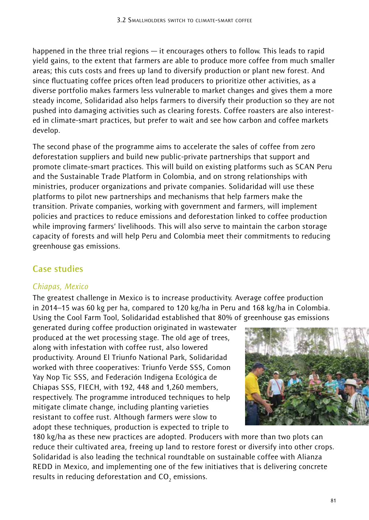happened in the three trial regions — it encourages others to follow. This leads to rapid yield gains, to the extent that farmers are able to produce more coffee from much smaller areas; this cuts costs and frees up land to diversify production or plant new forest. And since fluctuating coffee prices often lead producers to prioritize other activities, as a diverse portfolio makes farmers less vulnerable to market changes and gives them a more steady income, Solidaridad also helps farmers to diversify their production so they are not pushed into damaging activities such as clearing forests. Coffee roasters are also interested in climate-smart practices, but prefer to wait and see how carbon and coffee markets develop.

The second phase of the programme aims to accelerate the sales of coffee from zero deforestation suppliers and build new public-private partnerships that support and promote climate-smart practices. This will build on existing platforms such as SCAN Peru and the Sustainable Trade Platform in Colombia, and on strong relationships with ministries, producer organizations and private companies. Solidaridad will use these platforms to pilot new partnerships and mechanisms that help farmers make the transition. Private companies, working with government and farmers, will implement policies and practices to reduce emissions and deforestation linked to coffee production while improving farmers' livelihoods. This will also serve to maintain the carbon storage capacity of forests and will help Peru and Colombia meet their commitments to reducing greenhouse gas emissions.

# **Case studies**

#### *Chiapas, Mexico*

The greatest challenge in Mexico is to increase productivity. Average coffee production in 2014–15 was 60 kg per ha, compared to 120 kg/ha in Peru and 168 kg/ha in Colombia. Using the Cool Farm Tool, Solidaridad established that 80% of greenhouse gas emissions

generated during coffee production originated in wastewater produced at the wet processing stage. The old age of trees, along with infestation with coffee rust, also lowered productivity. Around El Triunfo National Park, Solidaridad worked with three cooperatives: Triunfo Verde SSS, Comon Yay Nop Tic SSS, and Federación Indigena Ecológica de Chiapas SSS, FIECH, with 192, 448 and 1,260 members, respectively. The programme introduced techniques to help mitigate climate change, including planting varieties resistant to coffee rust. Although farmers were slow to adopt these techniques, production is expected to triple to



180 kg/ha as these new practices are adopted. Producers with more than two plots can reduce their cultivated area, freeing up land to restore forest or diversify into other crops. Solidaridad is also leading the technical roundtable on sustainable coffee with Alianza REDD in Mexico, and implementing one of the few initiatives that is delivering concrete results in reducing deforestation and  $\mathsf{CO}_2$  emissions.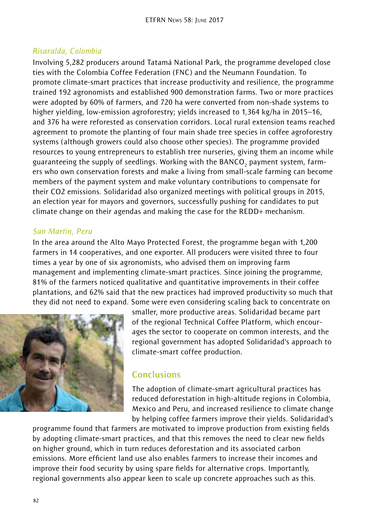#### *Risaralda, Colombia*

Involving 5,282 producers around Tatamá National Park, the programme developed close ties with the Colombia Coffee Federation (FNC) and the Neumann Foundation. To promote climate-smart practices that increase productivity and resilience, the programme trained 192 agronomists and established 900 demonstration farms. Two or more practices were adopted by 60% of farmers, and 720 ha were converted from non-shade systems to higher yielding, low-emission agroforestry; yields increased to 1,364 kg/ha in 2015–16, and 376 ha were reforested as conservation corridors. Local rural extension teams reached agreement to promote the planting of four main shade tree species in coffee agroforestry systems (although growers could also choose other species). The programme provided resources to young entrepreneurs to establish tree nurseries, giving them an income while guaranteeing the supply of seedlings. Working with the  ${\tt BANCO}_2$  payment system, farmers who own conservation forests and make a living from small-scale farming can become members of the payment system and make voluntary contributions to compensate for their CO2 emissions. Solidaridad also organized meetings with political groups in 2015, an election year for mayors and governors, successfully pushing for candidates to put climate change on their agendas and making the case for the REDD+ mechanism.

#### *San Martin, Peru*

In the area around the Alto Mayo Protected Forest, the programme began with 1,200 farmers in 14 cooperatives, and one exporter. All producers were visited three to four times a year by one of six agronomists, who advised them on improving farm management and implementing climate-smart practices. Since joining the programme, 81% of the farmers noticed qualitative and quantitative improvements in their coffee plantations, and 62% said that the new practices had improved productivity so much that they did not need to expand. Some were even considering scaling back to concentrate on



smaller, more productive areas. Solidaridad became part of the regional Technical Coffee Platform, which encourages the sector to cooperate on common interests, and the regional government has adopted Solidaridad's approach to climate-smart coffee production.

### **Conclusions**

The adoption of climate-smart agricultural practices has reduced deforestation in high-altitude regions in Colombia, Mexico and Peru, and increased resilience to climate change by helping coffee farmers improve their yields. Solidaridad's

programme found that farmers are motivated to improve production from existing fields by adopting climate-smart practices, and that this removes the need to clear new fields on higher ground, which in turn reduces deforestation and its associated carbon emissions. More efficient land use also enables farmers to increase their incomes and improve their food security by using spare fields for alternative crops. Importantly, regional governments also appear keen to scale up concrete approaches such as this.